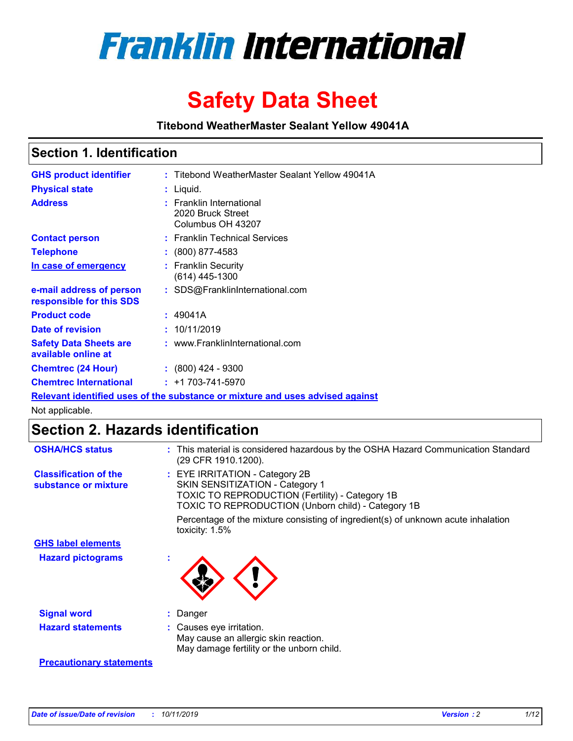

# **Safety Data Sheet**

**Titebond WeatherMaster Sealant Yellow 49041A**

### **Section 1. Identification**

| <b>GHS product identifier</b>                        | : Titebond WeatherMaster Sealant Yellow 49041A                                |
|------------------------------------------------------|-------------------------------------------------------------------------------|
| <b>Physical state</b>                                | : Liquid.                                                                     |
| <b>Address</b>                                       | : Franklin International<br>2020 Bruck Street<br>Columbus OH 43207            |
| <b>Contact person</b>                                | : Franklin Technical Services                                                 |
| <b>Telephone</b>                                     | $\colon$ (800) 877-4583                                                       |
| In case of emergency                                 | : Franklin Security<br>$(614)$ 445-1300                                       |
| e-mail address of person<br>responsible for this SDS | : SDS@FranklinInternational.com                                               |
| <b>Product code</b>                                  | : 49041A                                                                      |
| Date of revision                                     | : 10/11/2019                                                                  |
| <b>Safety Data Sheets are</b><br>available online at | : www.FranklinInternational.com                                               |
| <b>Chemtrec (24 Hour)</b>                            | $: (800)$ 424 - 9300                                                          |
| <b>Chemtrec International</b>                        | $: +1703 - 741 - 5970$                                                        |
|                                                      | Relevant identified uses of the substance or mixture and uses advised against |

Not applicable.

## **Section 2. Hazards identification**

| <b>OSHA/HCS status</b>                               | : This material is considered hazardous by the OSHA Hazard Communication Standard<br>(29 CFR 1910.1200).                                                                          |
|------------------------------------------------------|-----------------------------------------------------------------------------------------------------------------------------------------------------------------------------------|
| <b>Classification of the</b><br>substance or mixture | : EYE IRRITATION - Category 2B<br>SKIN SENSITIZATION - Category 1<br><b>TOXIC TO REPRODUCTION (Fertility) - Category 1B</b><br>TOXIC TO REPRODUCTION (Unborn child) - Category 1B |
|                                                      | Percentage of the mixture consisting of ingredient(s) of unknown acute inhalation<br>toxicity: $1.5\%$                                                                            |
| <b>GHS label elements</b>                            |                                                                                                                                                                                   |
| <b>Hazard pictograms</b>                             |                                                                                                                                                                                   |
| <b>Signal word</b>                                   | : Danger                                                                                                                                                                          |
| <b>Hazard statements</b>                             | : Causes eye irritation.<br>May cause an allergic skin reaction.<br>May damage fertility or the unborn child.                                                                     |
| <b>Precautionary statements</b>                      |                                                                                                                                                                                   |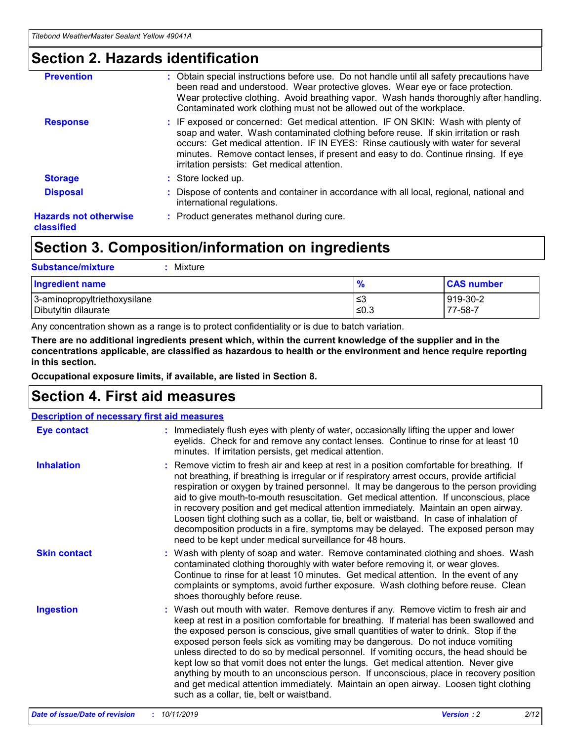### **Section 2. Hazards identification**

| <b>Prevention</b>                          | : Obtain special instructions before use. Do not handle until all safety precautions have<br>been read and understood. Wear protective gloves. Wear eye or face protection.<br>Wear protective clothing. Avoid breathing vapor. Wash hands thoroughly after handling.<br>Contaminated work clothing must not be allowed out of the workplace.                                                        |
|--------------------------------------------|------------------------------------------------------------------------------------------------------------------------------------------------------------------------------------------------------------------------------------------------------------------------------------------------------------------------------------------------------------------------------------------------------|
| <b>Response</b>                            | : IF exposed or concerned: Get medical attention. IF ON SKIN: Wash with plenty of<br>soap and water. Wash contaminated clothing before reuse. If skin irritation or rash<br>occurs: Get medical attention. IF IN EYES: Rinse cautiously with water for several<br>minutes. Remove contact lenses, if present and easy to do. Continue rinsing. If eye<br>irritation persists: Get medical attention. |
| <b>Storage</b>                             | : Store locked up.                                                                                                                                                                                                                                                                                                                                                                                   |
| <b>Disposal</b>                            | : Dispose of contents and container in accordance with all local, regional, national and<br>international regulations.                                                                                                                                                                                                                                                                               |
| <b>Hazards not otherwise</b><br>classified | : Product generates methanol during cure.                                                                                                                                                                                                                                                                                                                                                            |
|                                            |                                                                                                                                                                                                                                                                                                                                                                                                      |

## **Section 3. Composition/information on ingredients**

| <b>Substance/mixture</b><br>Mixture                  |                   |                     |
|------------------------------------------------------|-------------------|---------------------|
| <b>Ingredient name</b>                               | $\frac{9}{6}$     | <b>CAS number</b>   |
| 3-aminopropyltriethoxysilane<br>Dibutyltin dilaurate | l≤3<br>$\leq 0.3$ | 919-30-2<br>77-58-7 |

Any concentration shown as a range is to protect confidentiality or is due to batch variation.

**There are no additional ingredients present which, within the current knowledge of the supplier and in the concentrations applicable, are classified as hazardous to health or the environment and hence require reporting in this section.**

**Occupational exposure limits, if available, are listed in Section 8.**

## **Section 4. First aid measures**

| <b>Description of necessary first aid measures</b> |                                                                                                                                                                                                                                                                                                                                                                                                                                                                                                                                                                                                                                                                                                                                                                           |  |  |  |
|----------------------------------------------------|---------------------------------------------------------------------------------------------------------------------------------------------------------------------------------------------------------------------------------------------------------------------------------------------------------------------------------------------------------------------------------------------------------------------------------------------------------------------------------------------------------------------------------------------------------------------------------------------------------------------------------------------------------------------------------------------------------------------------------------------------------------------------|--|--|--|
| <b>Eye contact</b>                                 | : Immediately flush eyes with plenty of water, occasionally lifting the upper and lower<br>eyelids. Check for and remove any contact lenses. Continue to rinse for at least 10<br>minutes. If irritation persists, get medical attention.                                                                                                                                                                                                                                                                                                                                                                                                                                                                                                                                 |  |  |  |
| <b>Inhalation</b>                                  | : Remove victim to fresh air and keep at rest in a position comfortable for breathing. If<br>not breathing, if breathing is irregular or if respiratory arrest occurs, provide artificial<br>respiration or oxygen by trained personnel. It may be dangerous to the person providing<br>aid to give mouth-to-mouth resuscitation. Get medical attention. If unconscious, place<br>in recovery position and get medical attention immediately. Maintain an open airway.<br>Loosen tight clothing such as a collar, tie, belt or waistband. In case of inhalation of<br>decomposition products in a fire, symptoms may be delayed. The exposed person may<br>need to be kept under medical surveillance for 48 hours.                                                       |  |  |  |
| <b>Skin contact</b>                                | : Wash with plenty of soap and water. Remove contaminated clothing and shoes. Wash<br>contaminated clothing thoroughly with water before removing it, or wear gloves.<br>Continue to rinse for at least 10 minutes. Get medical attention. In the event of any<br>complaints or symptoms, avoid further exposure. Wash clothing before reuse. Clean<br>shoes thoroughly before reuse.                                                                                                                                                                                                                                                                                                                                                                                     |  |  |  |
| <b>Ingestion</b>                                   | : Wash out mouth with water. Remove dentures if any. Remove victim to fresh air and<br>keep at rest in a position comfortable for breathing. If material has been swallowed and<br>the exposed person is conscious, give small quantities of water to drink. Stop if the<br>exposed person feels sick as vomiting may be dangerous. Do not induce vomiting<br>unless directed to do so by medical personnel. If vomiting occurs, the head should be<br>kept low so that vomit does not enter the lungs. Get medical attention. Never give<br>anything by mouth to an unconscious person. If unconscious, place in recovery position<br>and get medical attention immediately. Maintain an open airway. Loosen tight clothing<br>such as a collar, tie, belt or waistband. |  |  |  |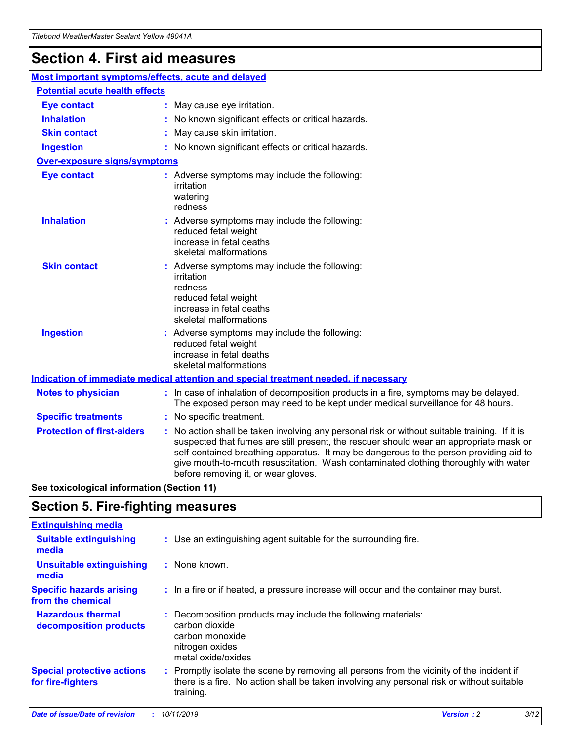## **Section 4. First aid measures**

| Most important symptoms/effects, acute and delayed |  |                                                                                                                                                                                                                                                                                                                                                                                                                 |
|----------------------------------------------------|--|-----------------------------------------------------------------------------------------------------------------------------------------------------------------------------------------------------------------------------------------------------------------------------------------------------------------------------------------------------------------------------------------------------------------|
| <b>Potential acute health effects</b>              |  |                                                                                                                                                                                                                                                                                                                                                                                                                 |
| <b>Eye contact</b>                                 |  | : May cause eye irritation.                                                                                                                                                                                                                                                                                                                                                                                     |
| <b>Inhalation</b>                                  |  | : No known significant effects or critical hazards.                                                                                                                                                                                                                                                                                                                                                             |
| <b>Skin contact</b>                                |  | : May cause skin irritation.                                                                                                                                                                                                                                                                                                                                                                                    |
| <b>Ingestion</b>                                   |  | : No known significant effects or critical hazards.                                                                                                                                                                                                                                                                                                                                                             |
| <b>Over-exposure signs/symptoms</b>                |  |                                                                                                                                                                                                                                                                                                                                                                                                                 |
| <b>Eye contact</b>                                 |  | : Adverse symptoms may include the following:<br>irritation<br>watering<br>redness                                                                                                                                                                                                                                                                                                                              |
| <b>Inhalation</b>                                  |  | : Adverse symptoms may include the following:<br>reduced fetal weight<br>increase in fetal deaths<br>skeletal malformations                                                                                                                                                                                                                                                                                     |
| <b>Skin contact</b>                                |  | : Adverse symptoms may include the following:<br>irritation<br>redness<br>reduced fetal weight<br>increase in fetal deaths<br>skeletal malformations                                                                                                                                                                                                                                                            |
| <b>Ingestion</b>                                   |  | : Adverse symptoms may include the following:<br>reduced fetal weight<br>increase in fetal deaths<br>skeletal malformations                                                                                                                                                                                                                                                                                     |
|                                                    |  | <b>Indication of immediate medical attention and special treatment needed, if necessary</b>                                                                                                                                                                                                                                                                                                                     |
| <b>Notes to physician</b>                          |  | : In case of inhalation of decomposition products in a fire, symptoms may be delayed.<br>The exposed person may need to be kept under medical surveillance for 48 hours.                                                                                                                                                                                                                                        |
| <b>Specific treatments</b>                         |  | : No specific treatment.                                                                                                                                                                                                                                                                                                                                                                                        |
| <b>Protection of first-aiders</b>                  |  | : No action shall be taken involving any personal risk or without suitable training. If it is<br>suspected that fumes are still present, the rescuer should wear an appropriate mask or<br>self-contained breathing apparatus. It may be dangerous to the person providing aid to<br>give mouth-to-mouth resuscitation. Wash contaminated clothing thoroughly with water<br>before removing it, or wear gloves. |

**See toxicological information (Section 11)**

### **Section 5. Fire-fighting measures**

| <b>Extinguishing media</b>                             |                                                                                                                                                                                                     |
|--------------------------------------------------------|-----------------------------------------------------------------------------------------------------------------------------------------------------------------------------------------------------|
| <b>Suitable extinguishing</b><br>media                 | : Use an extinguishing agent suitable for the surrounding fire.                                                                                                                                     |
| <b>Unsuitable extinguishing</b><br>media               | : None known.                                                                                                                                                                                       |
| <b>Specific hazards arising</b><br>from the chemical   | : In a fire or if heated, a pressure increase will occur and the container may burst.                                                                                                               |
| <b>Hazardous thermal</b><br>decomposition products     | : Decomposition products may include the following materials:<br>carbon dioxide<br>carbon monoxide<br>nitrogen oxides<br>metal oxide/oxides                                                         |
| <b>Special protective actions</b><br>for fire-fighters | : Promptly isolate the scene by removing all persons from the vicinity of the incident if<br>there is a fire. No action shall be taken involving any personal risk or without suitable<br>training. |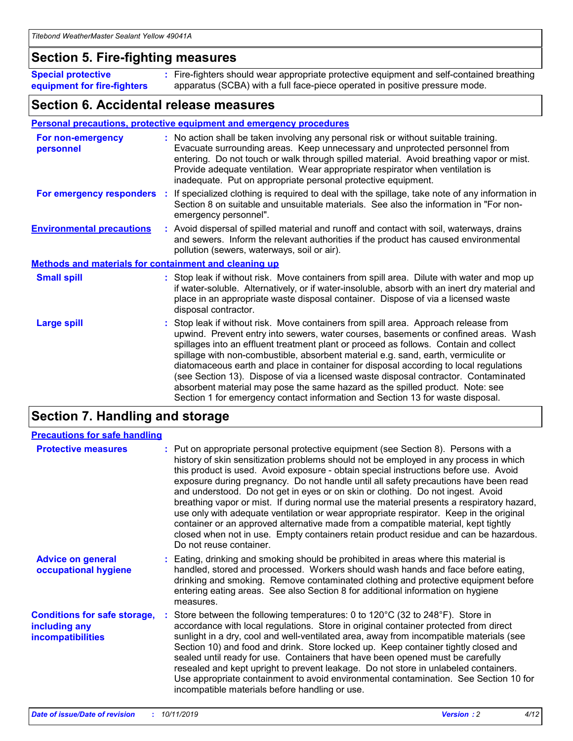### **Section 5. Fire-fighting measures**

**Special protective equipment for fire-fighters** Fire-fighters should wear appropriate protective equipment and self-contained breathing **:** apparatus (SCBA) with a full face-piece operated in positive pressure mode.

### **Section 6. Accidental release measures**

### **Personal precautions, protective equipment and emergency procedures**

| For non-emergency<br>personnel                               | : No action shall be taken involving any personal risk or without suitable training.<br>Evacuate surrounding areas. Keep unnecessary and unprotected personnel from<br>entering. Do not touch or walk through spilled material. Avoid breathing vapor or mist.<br>Provide adequate ventilation. Wear appropriate respirator when ventilation is<br>inadequate. Put on appropriate personal protective equipment.                                                                                                                                                                                                                                                                                             |
|--------------------------------------------------------------|--------------------------------------------------------------------------------------------------------------------------------------------------------------------------------------------------------------------------------------------------------------------------------------------------------------------------------------------------------------------------------------------------------------------------------------------------------------------------------------------------------------------------------------------------------------------------------------------------------------------------------------------------------------------------------------------------------------|
|                                                              | For emergency responders : If specialized clothing is required to deal with the spillage, take note of any information in<br>Section 8 on suitable and unsuitable materials. See also the information in "For non-<br>emergency personnel".                                                                                                                                                                                                                                                                                                                                                                                                                                                                  |
| <b>Environmental precautions</b>                             | : Avoid dispersal of spilled material and runoff and contact with soil, waterways, drains<br>and sewers. Inform the relevant authorities if the product has caused environmental<br>pollution (sewers, waterways, soil or air).                                                                                                                                                                                                                                                                                                                                                                                                                                                                              |
| <b>Methods and materials for containment and cleaning up</b> |                                                                                                                                                                                                                                                                                                                                                                                                                                                                                                                                                                                                                                                                                                              |
| <b>Small spill</b>                                           | : Stop leak if without risk. Move containers from spill area. Dilute with water and mop up<br>if water-soluble. Alternatively, or if water-insoluble, absorb with an inert dry material and<br>place in an appropriate waste disposal container. Dispose of via a licensed waste<br>disposal contractor.                                                                                                                                                                                                                                                                                                                                                                                                     |
| <b>Large spill</b>                                           | : Stop leak if without risk. Move containers from spill area. Approach release from<br>upwind. Prevent entry into sewers, water courses, basements or confined areas. Wash<br>spillages into an effluent treatment plant or proceed as follows. Contain and collect<br>spillage with non-combustible, absorbent material e.g. sand, earth, vermiculite or<br>diatomaceous earth and place in container for disposal according to local regulations<br>(see Section 13). Dispose of via a licensed waste disposal contractor. Contaminated<br>absorbent material may pose the same hazard as the spilled product. Note: see<br>Section 1 for emergency contact information and Section 13 for waste disposal. |

## **Section 7. Handling and storage**

| <b>Precautions for safe handling</b>                                             |                                                                                                                                                                                                                                                                                                                                                                                                                                                                                                                                                                                                                                                                                                                                                                                                                                                  |
|----------------------------------------------------------------------------------|--------------------------------------------------------------------------------------------------------------------------------------------------------------------------------------------------------------------------------------------------------------------------------------------------------------------------------------------------------------------------------------------------------------------------------------------------------------------------------------------------------------------------------------------------------------------------------------------------------------------------------------------------------------------------------------------------------------------------------------------------------------------------------------------------------------------------------------------------|
| <b>Protective measures</b>                                                       | : Put on appropriate personal protective equipment (see Section 8). Persons with a<br>history of skin sensitization problems should not be employed in any process in which<br>this product is used. Avoid exposure - obtain special instructions before use. Avoid<br>exposure during pregnancy. Do not handle until all safety precautions have been read<br>and understood. Do not get in eyes or on skin or clothing. Do not ingest. Avoid<br>breathing vapor or mist. If during normal use the material presents a respiratory hazard,<br>use only with adequate ventilation or wear appropriate respirator. Keep in the original<br>container or an approved alternative made from a compatible material, kept tightly<br>closed when not in use. Empty containers retain product residue and can be hazardous.<br>Do not reuse container. |
| <b>Advice on general</b><br>occupational hygiene                                 | : Eating, drinking and smoking should be prohibited in areas where this material is<br>handled, stored and processed. Workers should wash hands and face before eating,<br>drinking and smoking. Remove contaminated clothing and protective equipment before<br>entering eating areas. See also Section 8 for additional information on hygiene<br>measures.                                                                                                                                                                                                                                                                                                                                                                                                                                                                                    |
| <b>Conditions for safe storage,</b><br>including any<br><b>incompatibilities</b> | Store between the following temperatures: 0 to 120°C (32 to 248°F). Store in<br>accordance with local regulations. Store in original container protected from direct<br>sunlight in a dry, cool and well-ventilated area, away from incompatible materials (see<br>Section 10) and food and drink. Store locked up. Keep container tightly closed and<br>sealed until ready for use. Containers that have been opened must be carefully<br>resealed and kept upright to prevent leakage. Do not store in unlabeled containers.<br>Use appropriate containment to avoid environmental contamination. See Section 10 for<br>incompatible materials before handling or use.                                                                                                                                                                         |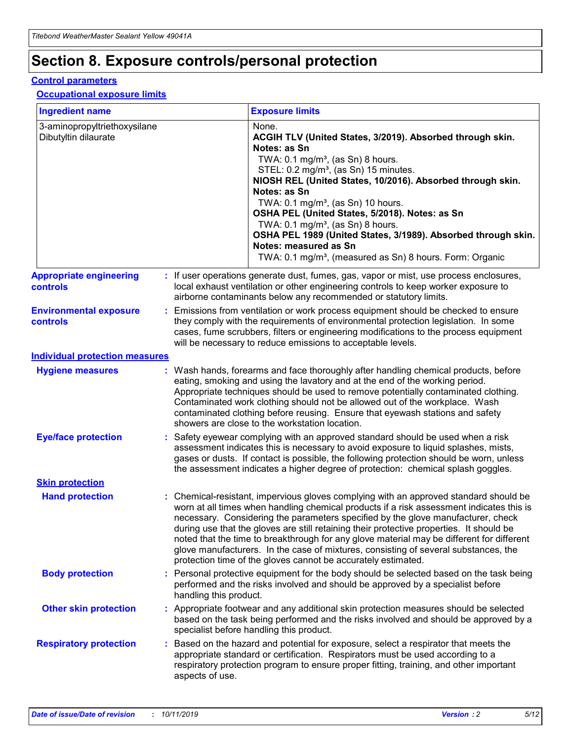## **Section 8. Exposure controls/personal protection**

### **Control parameters**

### **Occupational exposure limits**

| <b>Ingredient name</b>                               |    |                        | <b>Exposure limits</b>                                                                                                                                                                                                                                                                                                                                                                                                                                                                                                                                                                                                 |
|------------------------------------------------------|----|------------------------|------------------------------------------------------------------------------------------------------------------------------------------------------------------------------------------------------------------------------------------------------------------------------------------------------------------------------------------------------------------------------------------------------------------------------------------------------------------------------------------------------------------------------------------------------------------------------------------------------------------------|
| 3-aminopropyltriethoxysilane<br>Dibutyltin dilaurate |    |                        | None.<br>ACGIH TLV (United States, 3/2019). Absorbed through skin.<br>Notes: as Sn<br>TWA: $0.1 \text{ mg/m}^3$ , (as Sn) 8 hours.<br>STEL: 0.2 mg/m <sup>3</sup> , (as Sn) 15 minutes.<br>NIOSH REL (United States, 10/2016). Absorbed through skin.<br>Notes: as Sn<br>TWA: 0.1 mg/m <sup>3</sup> , (as Sn) 10 hours.<br>OSHA PEL (United States, 5/2018). Notes: as Sn<br>TWA: 0.1 mg/m <sup>3</sup> , (as Sn) 8 hours.<br>OSHA PEL 1989 (United States, 3/1989). Absorbed through skin.<br>Notes: measured as Sn<br>TWA: 0.1 mg/m <sup>3</sup> , (measured as Sn) 8 hours. Form: Organic                           |
| <b>Appropriate engineering</b><br>controls           |    |                        | : If user operations generate dust, fumes, gas, vapor or mist, use process enclosures,<br>local exhaust ventilation or other engineering controls to keep worker exposure to<br>airborne contaminants below any recommended or statutory limits.                                                                                                                                                                                                                                                                                                                                                                       |
| <b>Environmental exposure</b><br>controls            |    |                        | Emissions from ventilation or work process equipment should be checked to ensure<br>they comply with the requirements of environmental protection legislation. In some<br>cases, fume scrubbers, filters or engineering modifications to the process equipment<br>will be necessary to reduce emissions to acceptable levels.                                                                                                                                                                                                                                                                                          |
| <b>Individual protection measures</b>                |    |                        |                                                                                                                                                                                                                                                                                                                                                                                                                                                                                                                                                                                                                        |
| <b>Hygiene measures</b>                              |    |                        | : Wash hands, forearms and face thoroughly after handling chemical products, before<br>eating, smoking and using the lavatory and at the end of the working period.<br>Appropriate techniques should be used to remove potentially contaminated clothing.<br>Contaminated work clothing should not be allowed out of the workplace. Wash<br>contaminated clothing before reusing. Ensure that eyewash stations and safety<br>showers are close to the workstation location.                                                                                                                                            |
| <b>Eye/face protection</b>                           |    |                        | Safety eyewear complying with an approved standard should be used when a risk<br>assessment indicates this is necessary to avoid exposure to liquid splashes, mists,<br>gases or dusts. If contact is possible, the following protection should be worn, unless<br>the assessment indicates a higher degree of protection: chemical splash goggles.                                                                                                                                                                                                                                                                    |
| <b>Skin protection</b>                               |    |                        |                                                                                                                                                                                                                                                                                                                                                                                                                                                                                                                                                                                                                        |
| <b>Hand protection</b>                               |    |                        | : Chemical-resistant, impervious gloves complying with an approved standard should be<br>worn at all times when handling chemical products if a risk assessment indicates this is<br>necessary. Considering the parameters specified by the glove manufacturer, check<br>during use that the gloves are still retaining their protective properties. It should be<br>noted that the time to breakthrough for any glove material may be different for different<br>glove manufacturers. In the case of mixtures, consisting of several substances, the<br>protection time of the gloves cannot be accurately estimated. |
| <b>Body protection</b>                               |    | handling this product. | Personal protective equipment for the body should be selected based on the task being<br>performed and the risks involved and should be approved by a specialist before                                                                                                                                                                                                                                                                                                                                                                                                                                                |
| <b>Other skin protection</b>                         |    |                        | : Appropriate footwear and any additional skin protection measures should be selected<br>based on the task being performed and the risks involved and should be approved by a<br>specialist before handling this product.                                                                                                                                                                                                                                                                                                                                                                                              |
| <b>Respiratory protection</b>                        | ÷. | aspects of use.        | Based on the hazard and potential for exposure, select a respirator that meets the<br>appropriate standard or certification. Respirators must be used according to a<br>respiratory protection program to ensure proper fitting, training, and other important                                                                                                                                                                                                                                                                                                                                                         |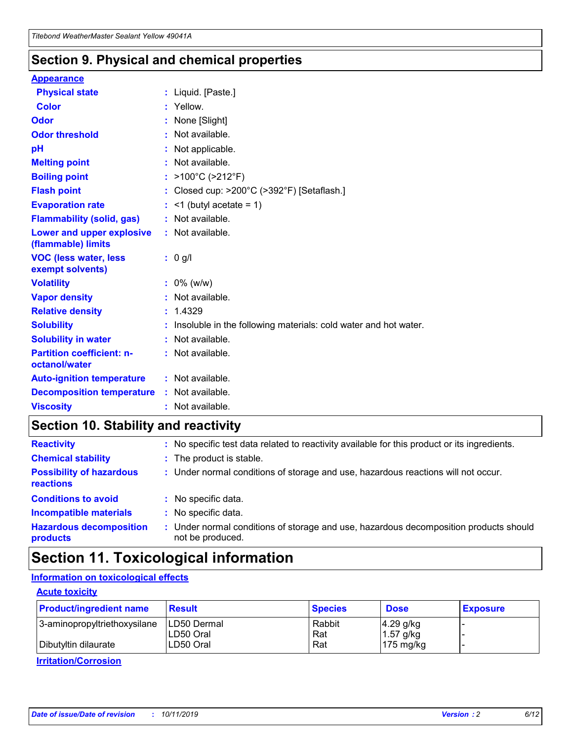### **Section 9. Physical and chemical properties**

#### **Appearance**

| <b>Physical state</b>                             | : Liquid. [Paste.]                                                |
|---------------------------------------------------|-------------------------------------------------------------------|
| <b>Color</b>                                      | Yellow.                                                           |
| Odor                                              | None [Slight]                                                     |
| <b>Odor threshold</b>                             | : Not available.                                                  |
| рH                                                | : Not applicable.                                                 |
| <b>Melting point</b>                              | : Not available.                                                  |
| <b>Boiling point</b>                              | : $>100^{\circ}$ C ( $>212^{\circ}$ F)                            |
| <b>Flash point</b>                                | : Closed cup: >200°C (>392°F) [Setaflash.]                        |
| <b>Evaporation rate</b>                           | $:$ <1 (butyl acetate = 1)                                        |
| <b>Flammability (solid, gas)</b>                  | : Not available.                                                  |
| Lower and upper explosive<br>(flammable) limits   | : Not available.                                                  |
| <b>VOC (less water, less</b><br>exempt solvents)  | $: 0$ g/l                                                         |
| <b>Volatility</b>                                 | $: 0\%$ (w/w)                                                     |
| <b>Vapor density</b>                              | : Not available.                                                  |
| <b>Relative density</b>                           | : 1.4329                                                          |
| <b>Solubility</b>                                 | : Insoluble in the following materials: cold water and hot water. |
| <b>Solubility in water</b>                        | : Not available.                                                  |
| <b>Partition coefficient: n-</b><br>octanol/water | : Not available.                                                  |
| <b>Auto-ignition temperature</b>                  | $:$ Not available.                                                |
| <b>Decomposition temperature</b>                  | : Not available.                                                  |
| <b>Viscosity</b>                                  | : Not available.                                                  |

## **Section 10. Stability and reactivity**

| <b>Reactivity</b>                            |    | : No specific test data related to reactivity available for this product or its ingredients.            |
|----------------------------------------------|----|---------------------------------------------------------------------------------------------------------|
| <b>Chemical stability</b>                    |    | : The product is stable.                                                                                |
| <b>Possibility of hazardous</b><br>reactions |    | : Under normal conditions of storage and use, hazardous reactions will not occur.                       |
| <b>Conditions to avoid</b>                   |    | : No specific data.                                                                                     |
| <b>Incompatible materials</b>                | ٠. | No specific data.                                                                                       |
| <b>Hazardous decomposition</b><br>products   | ÷. | Under normal conditions of storage and use, hazardous decomposition products should<br>not be produced. |

## **Section 11. Toxicological information**

### **Information on toxicological effects**

### **Acute toxicity**

| <b>Product/ingredient name</b> | <b>Result</b>           | <b>Species</b> | <b>Dose</b>                | <b>Exposure</b> |
|--------------------------------|-------------------------|----------------|----------------------------|-----------------|
| 3-aminopropyltriethoxysilane   | <b>ILD50 Dermal</b>     | Rabbit         | 4.29 g/kg                  |                 |
| Dibutyltin dilaurate           | ILD50 Oral<br>LD50 Oral | Rat<br>Rat     | $1.57$ g/kg<br>175 $mg/kg$ |                 |
|                                |                         |                |                            |                 |

**Irritation/Corrosion**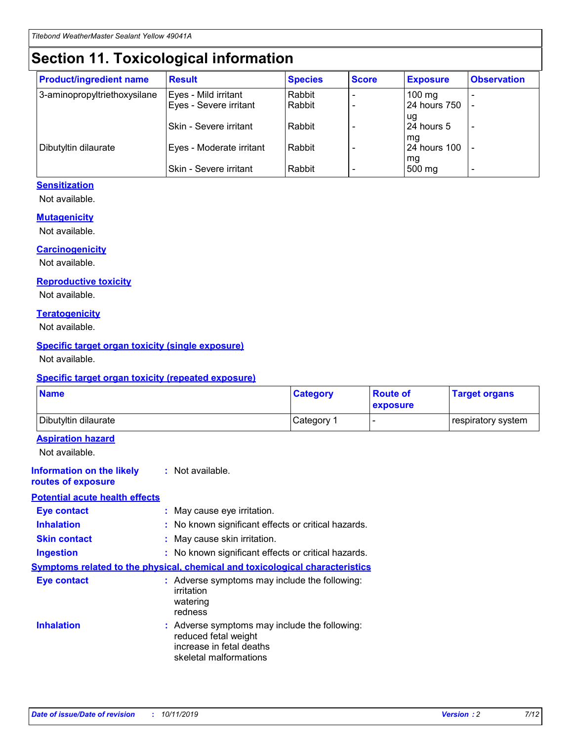## **Section 11. Toxicological information**

| <b>Product/ingredient name</b> | <b>Result</b>            | <b>Species</b> | <b>Score</b> | <b>Exposure</b>           | <b>Observation</b> |
|--------------------------------|--------------------------|----------------|--------------|---------------------------|--------------------|
| 3-aminopropyltriethoxysilane   | Eyes - Mild irritant     | Rabbit         |              | $100$ mg                  |                    |
|                                | Eyes - Severe irritant   | Rabbit         |              | 24 hours 750              |                    |
|                                |                          |                |              | ug                        |                    |
|                                | Skin - Severe irritant   | Rabbit         |              | 24 hours 5                | -                  |
| Dibutyltin dilaurate           | Eyes - Moderate irritant | Rabbit         |              | mq<br><b>24 hours 100</b> |                    |
|                                |                          |                |              | mg                        |                    |
|                                | Skin - Severe irritant   | Rabbit         |              | 500 mg                    |                    |

### **Sensitization**

Not available.

### **Mutagenicity**

Not available.

#### **Carcinogenicity**

Not available.

#### **Reproductive toxicity**

Not available.

#### **Teratogenicity**

Not available.

### **Specific target organ toxicity (single exposure)**

Not available.

#### **Specific target organ toxicity (repeated exposure)**

| <b>Name</b>                                                                  |                                                                                                                             | <b>Category</b> | <b>Route of</b><br>exposure  | <b>Target organs</b> |
|------------------------------------------------------------------------------|-----------------------------------------------------------------------------------------------------------------------------|-----------------|------------------------------|----------------------|
| Dibutyltin dilaurate                                                         |                                                                                                                             | Category 1      | $\qquad \qquad \blacksquare$ | respiratory system   |
| <b>Aspiration hazard</b><br>Not available.                                   |                                                                                                                             |                 |                              |                      |
| <b>Information on the likely</b><br>routes of exposure                       | : Not available.                                                                                                            |                 |                              |                      |
| <b>Potential acute health effects</b>                                        |                                                                                                                             |                 |                              |                      |
| <b>Eye contact</b>                                                           | : May cause eye irritation.                                                                                                 |                 |                              |                      |
| <b>Inhalation</b>                                                            | : No known significant effects or critical hazards.                                                                         |                 |                              |                      |
| <b>Skin contact</b>                                                          | : May cause skin irritation.                                                                                                |                 |                              |                      |
| <b>Ingestion</b>                                                             | : No known significant effects or critical hazards.                                                                         |                 |                              |                      |
| Symptoms related to the physical, chemical and toxicological characteristics |                                                                                                                             |                 |                              |                      |
| <b>Eye contact</b>                                                           | : Adverse symptoms may include the following:<br>irritation<br>watering<br>redness                                          |                 |                              |                      |
| <b>Inhalation</b>                                                            | : Adverse symptoms may include the following:<br>reduced fetal weight<br>increase in fetal deaths<br>skeletal malformations |                 |                              |                      |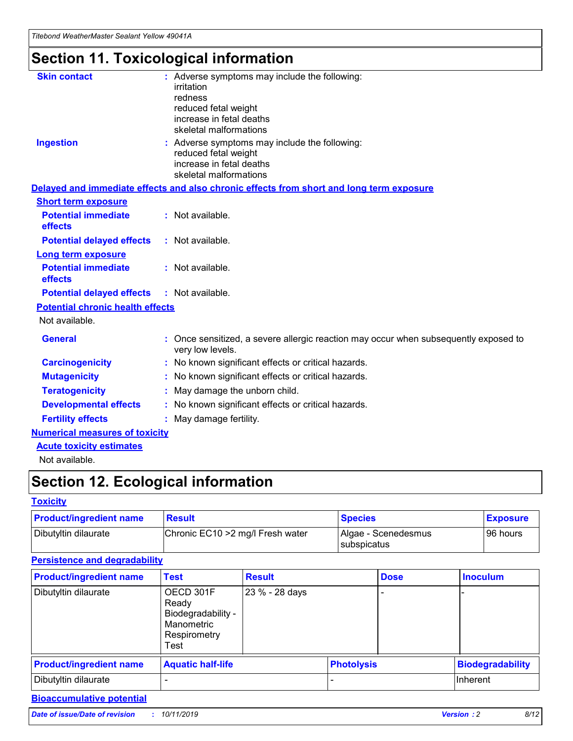*Titebond WeatherMaster Sealant Yellow 49041A*

## **Section 11. Toxicological information**

| <b>Skin contact</b>                     | : Adverse symptoms may include the following:<br>irritation<br>redness<br>reduced fetal weight<br>increase in fetal deaths<br>skeletal malformations |
|-----------------------------------------|------------------------------------------------------------------------------------------------------------------------------------------------------|
| <b>Ingestion</b>                        | : Adverse symptoms may include the following:<br>reduced fetal weight<br>increase in fetal deaths<br>skeletal malformations                          |
|                                         | Delayed and immediate effects and also chronic effects from short and long term exposure                                                             |
| <b>Short term exposure</b>              |                                                                                                                                                      |
| <b>Potential immediate</b><br>effects   | : Not available.                                                                                                                                     |
| <b>Potential delayed effects</b>        | : Not available.                                                                                                                                     |
| Long term exposure                      |                                                                                                                                                      |
| <b>Potential immediate</b><br>effects   | : Not available.                                                                                                                                     |
| <b>Potential delayed effects</b>        | : Not available.                                                                                                                                     |
| <b>Potential chronic health effects</b> |                                                                                                                                                      |
| Not available.                          |                                                                                                                                                      |
| <b>General</b>                          | Once sensitized, a severe allergic reaction may occur when subsequently exposed to<br>very low levels.                                               |
| <b>Carcinogenicity</b>                  | : No known significant effects or critical hazards.                                                                                                  |
| <b>Mutagenicity</b>                     | : No known significant effects or critical hazards.                                                                                                  |
| <b>Teratogenicity</b>                   | May damage the unborn child.                                                                                                                         |
| <b>Developmental effects</b>            | : No known significant effects or critical hazards.                                                                                                  |
| <b>Fertility effects</b>                | : May damage fertility.                                                                                                                              |
| <b>Numerical measures of toxicity</b>   |                                                                                                                                                      |
| <b>Acute toxicity estimates</b>         |                                                                                                                                                      |
| الملمانون بمللملة                       |                                                                                                                                                      |

Not available.

## **Section 12. Ecological information**

### **Toxicity**

| <b>Product/ingredient name</b> | <b>Result</b>                     | <b>Species</b>                              | <b>Exposure</b> |
|--------------------------------|-----------------------------------|---------------------------------------------|-----------------|
| Dibutyltin dilaurate           | Chronic EC10 > 2 mg/l Fresh water | Algae - Scenedesmus<br><b>I</b> subspicatus | l 96 hours      |

### **Persistence and degradability**

| <b>Product/ingredient name</b> | Test                                                                           | <b>Result</b>  |                   | <b>Dose</b> | <b>Inoculum</b>         |
|--------------------------------|--------------------------------------------------------------------------------|----------------|-------------------|-------------|-------------------------|
| Dibutyltin dilaurate           | OECD 301F<br>Ready<br>Biodegradability -<br>Manometric<br>Respirometry<br>Test | 23 % - 28 days |                   |             |                         |
| <b>Product/ingredient name</b> | <b>Aquatic half-life</b>                                                       |                | <b>Photolysis</b> |             | <b>Biodegradability</b> |
| Dibutyltin dilaurate           |                                                                                |                |                   |             | Inherent                |

### **Bioaccumulative potential**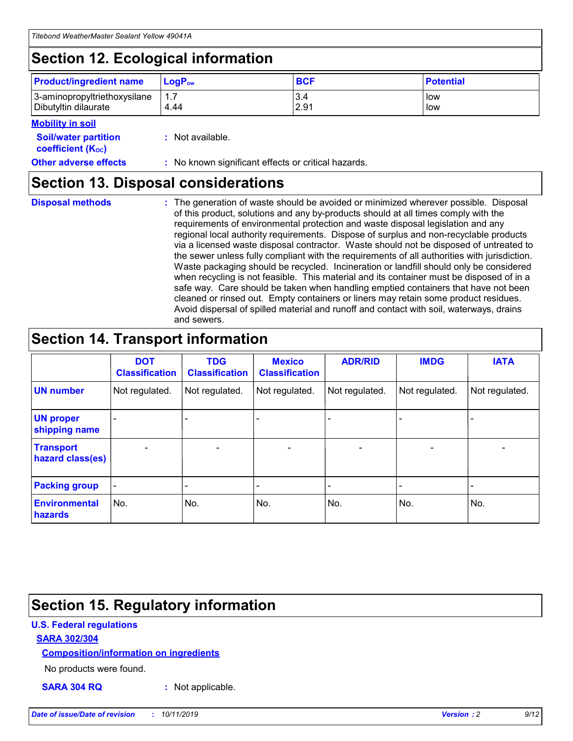## **Section 12. Ecological information**

| <b>Product/ingredient name</b>                       | ∣LoqP <sub>ow</sub> | <b>BCF</b>  | <b>Potential</b> |
|------------------------------------------------------|---------------------|-------------|------------------|
| 3-aminopropyltriethoxysilane<br>Dibutyltin dilaurate | 4.44                | 3.4<br>2.91 | low<br>low       |

### **Mobility in soil**

| <b>Soil/water partition</b><br>coefficient (K <sub>oc</sub> ) | : Not available.                                    |
|---------------------------------------------------------------|-----------------------------------------------------|
| <b>Other adverse effects</b>                                  | : No known significant effects or critical hazards. |

### **Section 13. Disposal considerations**

|  | <b>Disposal methods</b> |  |
|--|-------------------------|--|

**Disposal methods** : The generation of waste should be avoided or minimized wherever possible. Disposal of this product, solutions and any by-products should at all times comply with the requirements of environmental protection and waste disposal legislation and any regional local authority requirements. Dispose of surplus and non-recyclable products via a licensed waste disposal contractor. Waste should not be disposed of untreated to the sewer unless fully compliant with the requirements of all authorities with jurisdiction. Waste packaging should be recycled. Incineration or landfill should only be considered when recycling is not feasible. This material and its container must be disposed of in a safe way. Care should be taken when handling emptied containers that have not been cleaned or rinsed out. Empty containers or liners may retain some product residues. Avoid dispersal of spilled material and runoff and contact with soil, waterways, drains and sewers.

## **Section 14. Transport information**

|                                      | <b>DOT</b><br><b>Classification</b> | <b>TDG</b><br><b>Classification</b> | <b>Mexico</b><br><b>Classification</b> | <b>ADR/RID</b>           | <b>IMDG</b>              | <b>IATA</b>    |
|--------------------------------------|-------------------------------------|-------------------------------------|----------------------------------------|--------------------------|--------------------------|----------------|
| <b>UN number</b>                     | Not regulated.                      | Not regulated.                      | Not regulated.                         | Not regulated.           | Not regulated.           | Not regulated. |
| <b>UN proper</b><br>shipping name    |                                     |                                     |                                        |                          |                          |                |
| <b>Transport</b><br>hazard class(es) | $\qquad \qquad \blacksquare$        | $\qquad \qquad \blacksquare$        | $\overline{\phantom{a}}$               | $\overline{\phantom{a}}$ | $\overline{\phantom{a}}$ | $\blacksquare$ |
| <b>Packing group</b>                 | $\overline{\phantom{a}}$            |                                     |                                        |                          | $\overline{\phantom{0}}$ |                |
| <b>Environmental</b><br>hazards      | No.                                 | No.                                 | No.                                    | No.                      | No.                      | No.            |

## **Section 15. Regulatory information**

### **U.S. Federal regulations**

### **SARA 302/304**

### **Composition/information on ingredients**

No products were found.

**SARA 304 RQ :** Not applicable.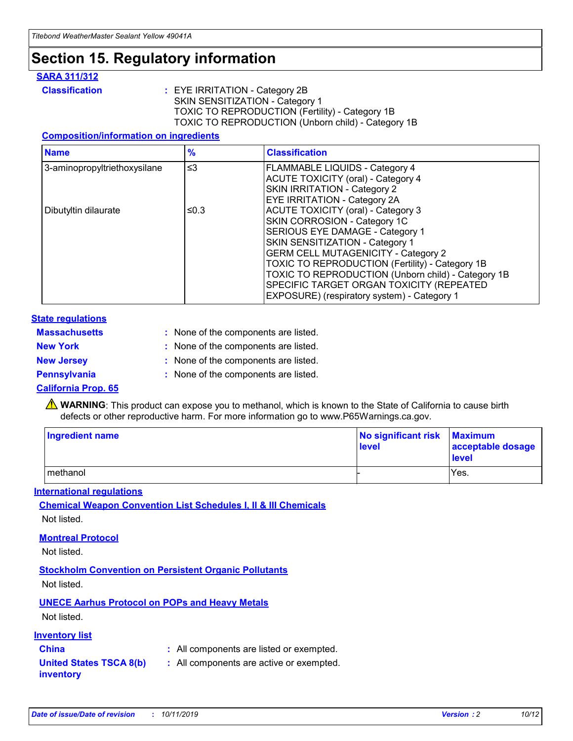## **Section 15. Regulatory information**

### **SARA 311/312**

**Classification :** EYE IRRITATION - Category 2B SKIN SENSITIZATION - Category 1 TOXIC TO REPRODUCTION (Fertility) - Category 1B TOXIC TO REPRODUCTION (Unborn child) - Category 1B

### **Composition/information on ingredients**

| <b>Name</b>                  | $\frac{9}{6}$ | <b>Classification</b>                                                                                            |
|------------------------------|---------------|------------------------------------------------------------------------------------------------------------------|
| 3-aminopropyltriethoxysilane | $\leq$ 3      | <b>FLAMMABLE LIQUIDS - Category 4</b><br><b>ACUTE TOXICITY (oral) - Category 4</b>                               |
|                              |               | SKIN IRRITATION - Category 2<br>EYE IRRITATION - Category 2A                                                     |
| Dibutyltin dilaurate         | ≤0.3          | ACUTE TOXICITY (oral) - Category 3<br>SKIN CORROSION - Category 1C                                               |
|                              |               | SERIOUS EYE DAMAGE - Category 1<br>SKIN SENSITIZATION - Category 1<br><b>GERM CELL MUTAGENICITY - Category 2</b> |
|                              |               | TOXIC TO REPRODUCTION (Fertility) - Category 1B<br>TOXIC TO REPRODUCTION (Unborn child) - Category 1B            |
|                              |               | SPECIFIC TARGET ORGAN TOXICITY (REPEATED<br>EXPOSURE) (respiratory system) - Category 1                          |

### **State regulations**

| <b>Massachusetts</b> | : None of the components are listed. |
|----------------------|--------------------------------------|
| <b>New York</b>      | : None of the components are listed. |
| <b>New Jersey</b>    | : None of the components are listed. |
| <b>Pennsylvania</b>  | : None of the components are listed. |

### **California Prop. 65**

**A** WARNING: This product can expose you to methanol, which is known to the State of California to cause birth defects or other reproductive harm. For more information go to www.P65Warnings.ca.gov.

| <b>Ingredient name</b> | No significant risk Maximum<br>level | acceptable dosage<br>level |
|------------------------|--------------------------------------|----------------------------|
| methanol               |                                      | Yes.                       |

### **International regulations**

**Chemical Weapon Convention List Schedules I, II & III Chemicals** Not listed.

### **Montreal Protocol**

Not listed.

**Stockholm Convention on Persistent Organic Pollutants**

Not listed.

### **UNECE Aarhus Protocol on POPs and Heavy Metals**

Not listed.

### **Inventory list**

### **China :** All components are listed or exempted.

**United States TSCA 8(b) inventory :** All components are active or exempted.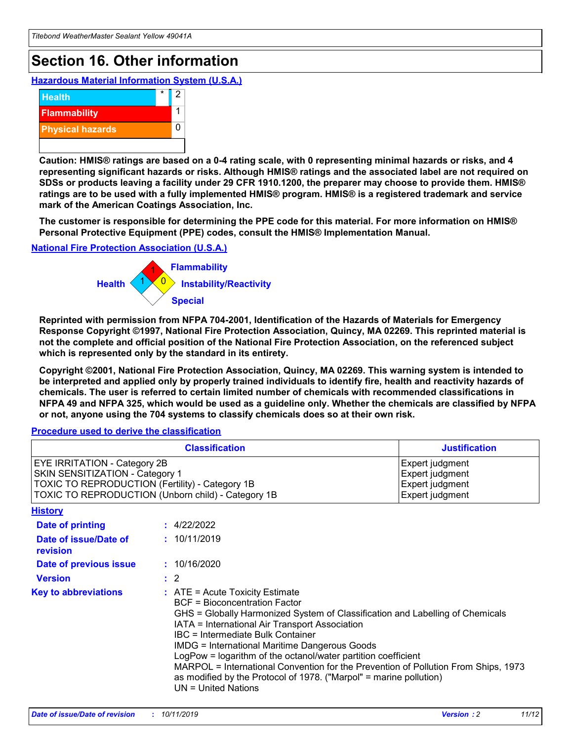## **Section 16. Other information**

**Hazardous Material Information System (U.S.A.)**



**Caution: HMIS® ratings are based on a 0-4 rating scale, with 0 representing minimal hazards or risks, and 4 representing significant hazards or risks. Although HMIS® ratings and the associated label are not required on SDSs or products leaving a facility under 29 CFR 1910.1200, the preparer may choose to provide them. HMIS® ratings are to be used with a fully implemented HMIS® program. HMIS® is a registered trademark and service mark of the American Coatings Association, Inc.**

**The customer is responsible for determining the PPE code for this material. For more information on HMIS® Personal Protective Equipment (PPE) codes, consult the HMIS® Implementation Manual.**

### **National Fire Protection Association (U.S.A.)**



**Reprinted with permission from NFPA 704-2001, Identification of the Hazards of Materials for Emergency Response Copyright ©1997, National Fire Protection Association, Quincy, MA 02269. This reprinted material is not the complete and official position of the National Fire Protection Association, on the referenced subject which is represented only by the standard in its entirety.**

**Copyright ©2001, National Fire Protection Association, Quincy, MA 02269. This warning system is intended to be interpreted and applied only by properly trained individuals to identify fire, health and reactivity hazards of chemicals. The user is referred to certain limited number of chemicals with recommended classifications in NFPA 49 and NFPA 325, which would be used as a guideline only. Whether the chemicals are classified by NFPA or not, anyone using the 704 systems to classify chemicals does so at their own risk.**

**Procedure used to derive the classification**

|                                                                                                                    | <b>Classification</b>                                                                                                                            | <b>Justification</b>                                                                                                                                                                                                                                                                                                                                                                                                 |  |
|--------------------------------------------------------------------------------------------------------------------|--------------------------------------------------------------------------------------------------------------------------------------------------|----------------------------------------------------------------------------------------------------------------------------------------------------------------------------------------------------------------------------------------------------------------------------------------------------------------------------------------------------------------------------------------------------------------------|--|
| EYE IRRITATION - Category 2B<br>SKIN SENSITIZATION - Category 1<br>TOXIC TO REPRODUCTION (Fertility) - Category 1B | TOXIC TO REPRODUCTION (Unborn child) - Category 1B                                                                                               | Expert judgment<br>Expert judgment<br>Expert judgment<br>Expert judgment                                                                                                                                                                                                                                                                                                                                             |  |
| <b>History</b>                                                                                                     |                                                                                                                                                  |                                                                                                                                                                                                                                                                                                                                                                                                                      |  |
| Date of printing                                                                                                   | : 4/22/2022                                                                                                                                      |                                                                                                                                                                                                                                                                                                                                                                                                                      |  |
| Date of issue/Date of<br>revision                                                                                  | : 10/11/2019                                                                                                                                     |                                                                                                                                                                                                                                                                                                                                                                                                                      |  |
| Date of previous issue                                                                                             | : 10/16/2020                                                                                                                                     |                                                                                                                                                                                                                                                                                                                                                                                                                      |  |
| <b>Version</b>                                                                                                     | $\therefore$ 2                                                                                                                                   |                                                                                                                                                                                                                                                                                                                                                                                                                      |  |
| <b>Key to abbreviations</b>                                                                                        | $\therefore$ ATE = Acute Toxicity Estimate<br><b>BCF</b> = Bioconcentration Factor<br>IBC = Intermediate Bulk Container<br>$UN = United Nations$ | GHS = Globally Harmonized System of Classification and Labelling of Chemicals<br>IATA = International Air Transport Association<br><b>IMDG = International Maritime Dangerous Goods</b><br>LogPow = logarithm of the octanol/water partition coefficient<br>MARPOL = International Convention for the Prevention of Pollution From Ships, 1973<br>as modified by the Protocol of 1978. ("Marpol" = marine pollution) |  |